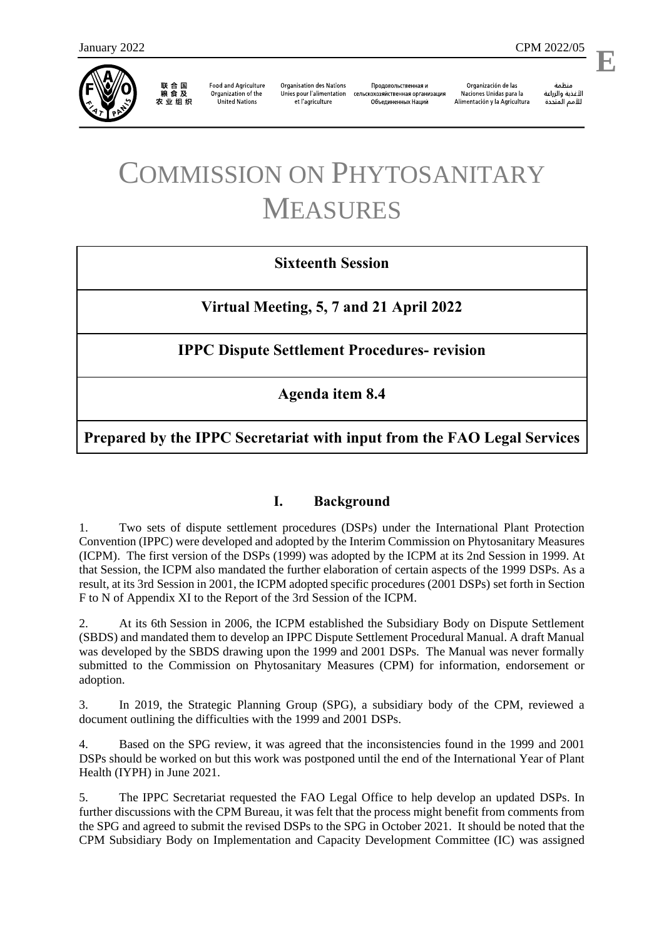

联 合 国<br>粮 食 及 农业组织

**Food and Agriculture** Organization of the **United Nations** 

**Organisation des Nations** Unies pour l'alimentation et l'agriculture

Продовольственная и сельскохозяйственная организация Объелиненных Наций

Organización de las Naciones Unidas para la Alimentación y la Agricultura

منظمة الأغذية والزراعة للأمم المتحدة

# COMMISSION ON PHYTOSANITARY MEASURES

# **Sixteenth Session**

**Virtual Meeting, 5, 7 and 21 April 2022**

**IPPC Dispute Settlement Procedures- revision**

**Agenda item 8.4**

**Prepared by the IPPC Secretariat with input from the FAO Legal Services**

# **I. Background**

1. Two sets of dispute settlement procedures (DSPs) under the International Plant Protection Convention (IPPC) were developed and adopted by the Interim Commission on Phytosanitary Measures (ICPM). The first version of the DSPs (1999) was adopted by the ICPM at its 2nd Session in 1999. At that Session, the ICPM also mandated the further elaboration of certain aspects of the 1999 DSPs. As a result, at its 3rd Session in 2001, the ICPM adopted specific procedures (2001 DSPs) set forth in Section F to N of Appendix XI to the Report of the 3rd Session of the ICPM.

2. At its 6th Session in 2006, the ICPM established the Subsidiary Body on Dispute Settlement (SBDS) and mandated them to develop an IPPC Dispute Settlement Procedural Manual. A draft Manual was developed by the SBDS drawing upon the 1999 and 2001 DSPs. The Manual was never formally submitted to the Commission on Phytosanitary Measures (CPM) for information, endorsement or adoption.

3. In 2019, the Strategic Planning Group (SPG), a subsidiary body of the CPM, reviewed a document outlining the difficulties with the 1999 and 2001 DSPs.

4. Based on the SPG review, it was agreed that the inconsistencies found in the 1999 and 2001 DSPs should be worked on but this work was postponed until the end of the International Year of Plant Health (IYPH) in June 2021.

5. The IPPC Secretariat requested the FAO Legal Office to help develop an updated DSPs. In further discussions with the CPM Bureau, it was felt that the process might benefit from comments from the SPG and agreed to submit the revised DSPs to the SPG in October 2021. It should be noted that the CPM Subsidiary Body on Implementation and Capacity Development Committee (IC) was assigned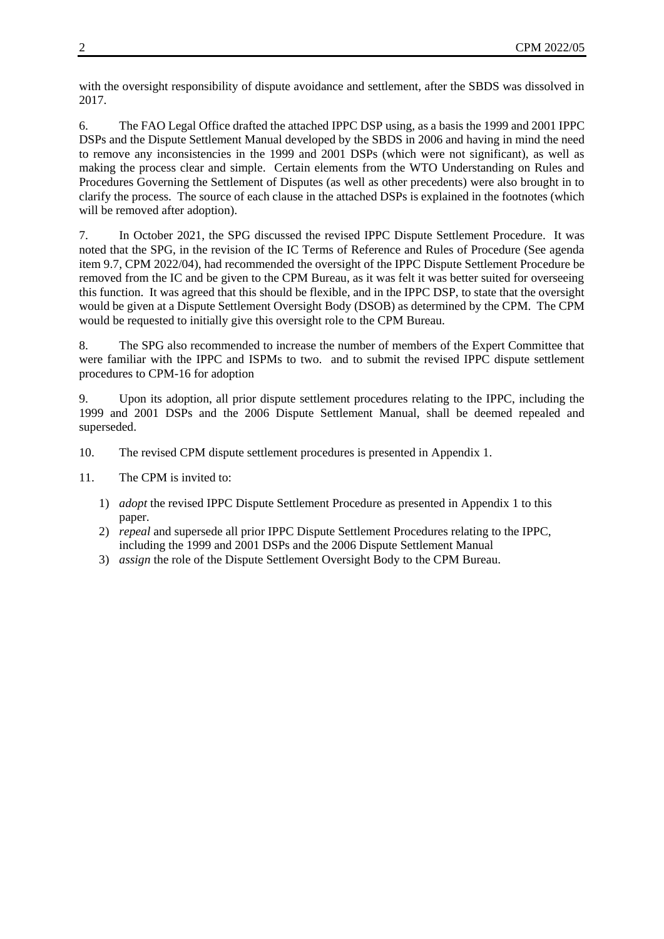with the oversight responsibility of dispute avoidance and settlement, after the SBDS was dissolved in 2017.

6. The FAO Legal Office drafted the attached IPPC DSP using, as a basis the 1999 and 2001 IPPC DSPs and the Dispute Settlement Manual developed by the SBDS in 2006 and having in mind the need to remove any inconsistencies in the 1999 and 2001 DSPs (which were not significant), as well as making the process clear and simple. Certain elements from the WTO Understanding on Rules and Procedures Governing the Settlement of Disputes (as well as other precedents) were also brought in to clarify the process. The source of each clause in the attached DSPs is explained in the footnotes (which will be removed after adoption).

7. In October 2021, the SPG discussed the revised IPPC Dispute Settlement Procedure. It was noted that the SPG, in the revision of the IC Terms of Reference and Rules of Procedure (See agenda item 9.7, CPM 2022/04), had recommended the oversight of the IPPC Dispute Settlement Procedure be removed from the IC and be given to the CPM Bureau, as it was felt it was better suited for overseeing this function. It was agreed that this should be flexible, and in the IPPC DSP, to state that the oversight would be given at a Dispute Settlement Oversight Body (DSOB) as determined by the CPM. The CPM would be requested to initially give this oversight role to the CPM Bureau.

8. The SPG also recommended to increase the number of members of the Expert Committee that were familiar with the IPPC and ISPMs to two. and to submit the revised IPPC dispute settlement procedures to CPM-16 for adoption

9. Upon its adoption, all prior dispute settlement procedures relating to the IPPC, including the 1999 and 2001 DSPs and the 2006 Dispute Settlement Manual, shall be deemed repealed and superseded.

- 10. The revised CPM dispute settlement procedures is presented in Appendix 1.
- 11. The CPM is invited to:
	- 1) *adopt* the revised IPPC Dispute Settlement Procedure as presented in Appendix 1 to this paper.
	- 2) *repeal* and supersede all prior IPPC Dispute Settlement Procedures relating to the IPPC, including the 1999 and 2001 DSPs and the 2006 Dispute Settlement Manual
	- 3) *assign* the role of the Dispute Settlement Oversight Body to the CPM Bureau.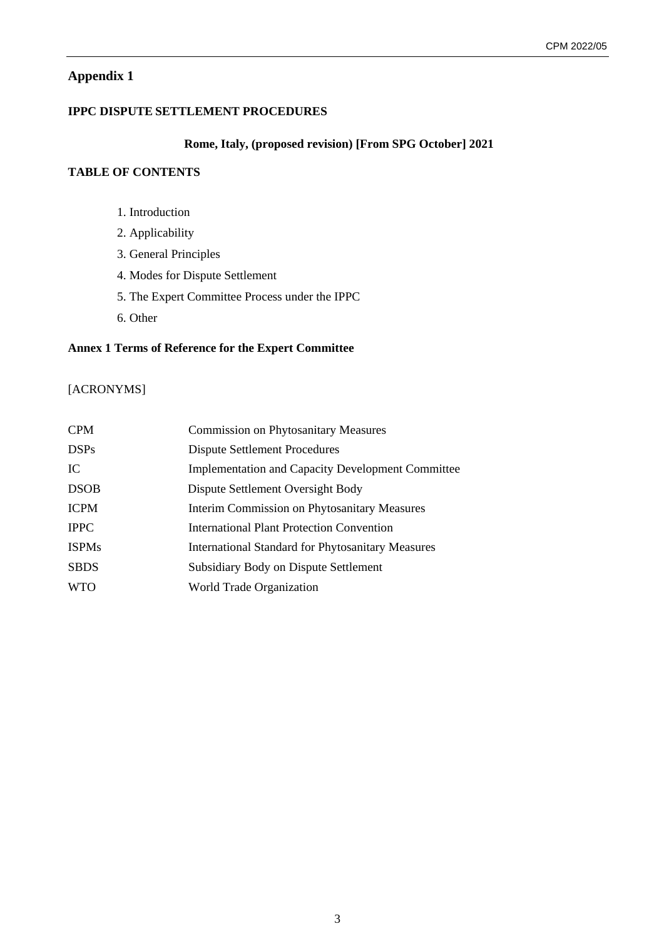# **Appendix 1**

# **IPPC DISPUTE SETTLEMENT PROCEDURES**

#### **Rome, Italy, (proposed revision) [From SPG October] 2021**

# **TABLE OF CONTENTS**

- 1. Introduction
- 2. Applicability
- 3. General Principles
- 4. Modes for Dispute Settlement
- 5. The Expert Committee Process under the IPPC
- 6. Other

# **Annex 1 Terms of Reference for the Expert Committee**

# [ACRONYMS]

| <b>CPM</b>   | <b>Commission on Phytosanitary Measures</b>              |
|--------------|----------------------------------------------------------|
| <b>DSPs</b>  | <b>Dispute Settlement Procedures</b>                     |
| IC           | <b>Implementation and Capacity Development Committee</b> |
| <b>DSOB</b>  | Dispute Settlement Oversight Body                        |
| <b>ICPM</b>  | <b>Interim Commission on Phytosanitary Measures</b>      |
| <b>IPPC</b>  | International Plant Protection Convention                |
| <b>ISPMs</b> | <b>International Standard for Phytosanitary Measures</b> |
| <b>SBDS</b>  | Subsidiary Body on Dispute Settlement                    |
| <b>WTO</b>   | World Trade Organization                                 |
|              |                                                          |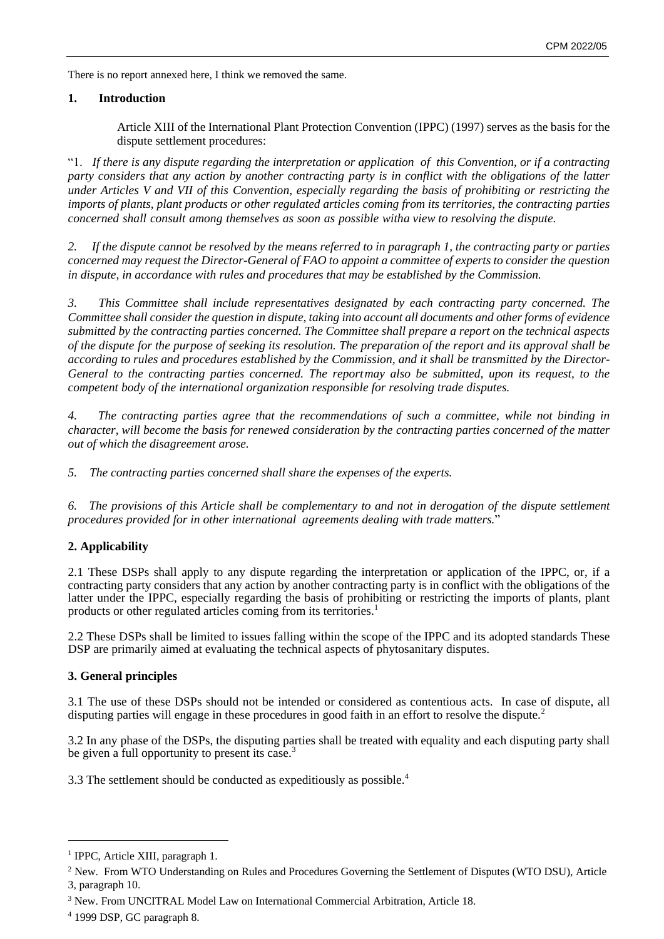There is no report annexed here, I think we removed the same.

# **1. Introduction**

Article XIII of the International Plant Protection Convention (IPPC) (1997) serves as the basis for the dispute settlement procedures:

"1. *If there is any dispute regarding the interpretation or application of this Convention, or if a contracting party considers that any action by another contracting party is in conflict with the obligations of the latter under Articles V and VII of this Convention, especially regarding the basis of prohibiting or restricting the imports of plants, plant products or other regulated articles coming from its territories, the contracting parties concerned shall consult among themselves as soon as possible witha view to resolving the dispute.* 

*2. If the dispute cannot be resolved by the means referred to in paragraph 1, the contracting party or parties concerned may request the Director-General of FAO to appoint a committee of experts to consider the question in dispute, in accordance with rules and procedures that may be established by the Commission.*

*3. This Committee shall include representatives designated by each contracting party concerned. The Committee shall consider the question in dispute, taking into account all documents and other forms of evidence submitted by the contracting parties concerned. The Committee shall prepare a report on the technical aspects of the dispute for the purpose of seeking its resolution. The preparation of the report and its approval shall be according to rules and procedures established by the Commission, and it shall be transmitted by the Director-General to the contracting parties concerned. The reportmay also be submitted, upon its request, to the competent body of the international organization responsible for resolving trade disputes.*

*4. The contracting parties agree that the recommendations of such a committee, while not binding in character, will become the basis for renewed consideration by the contracting parties concerned of the matter out of which the disagreement arose.*

*5. The contracting parties concerned shall share the expenses of the experts.*

*6. The provisions of this Article shall be complementary to and not in derogation of the dispute settlement procedures provided for in other international agreements dealing with trade matters.*"

# **2. Applicability**

2.1 These DSPs shall apply to any dispute regarding the interpretation or application of the IPPC, or, if a contracting party considers that any action by another contracting party is in conflict with the obligations of the latter under the IPPC, especially regarding the basis of prohibiting or restricting the imports of plants, plant products or other regulated articles coming from its territories.<sup>1</sup>

2.2 These DSPs shall be limited to issues falling within the scope of the IPPC and its adopted standards. These DSP are primarily aimed at evaluating the technical aspects of phytosanitary disputes.

# **3. General principles**

3.1 The use of these DSPs should not be intended or considered as contentious acts. In case of dispute, all disputing parties will engage in these procedures in good faith in an effort to resolve the dispute.<sup>2</sup>

3.2 In any phase of the DSPs, the disputing parties shall be treated with equality and each disputing party shall be given a full opportunity to present its case.<sup>3</sup>

3.3 The settlement should be conducted as expeditiously as possible.<sup>4</sup>

<sup>&</sup>lt;sup>1</sup> IPPC, Article XIII, paragraph 1.

<sup>2</sup> New. From WTO Understanding on Rules and Procedures Governing the Settlement of Disputes (WTO DSU), Article 3, paragraph 10.

<sup>3</sup> New. From UNCITRAL Model Law on International Commercial Arbitration, Article 18.

<sup>4</sup> 1999 DSP, GC paragraph 8.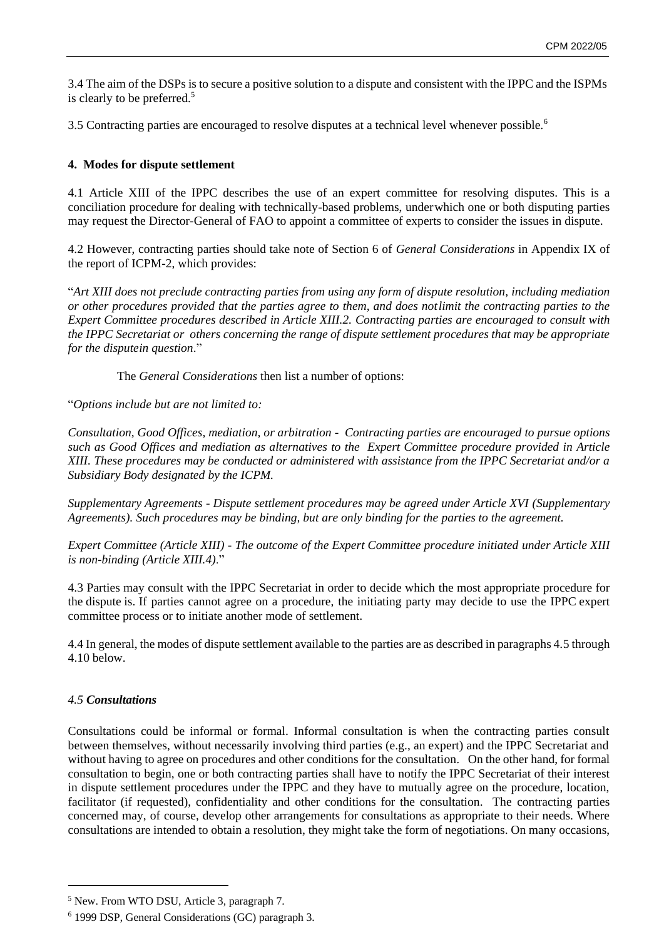3.4 The aim of the DSPs is to secure a positive solution to a dispute and consistent with the IPPC and the ISPMs is clearly to be preferred.<sup>5</sup>

3.5 Contracting parties are encouraged to resolve disputes at a technical level whenever possible.<sup>6</sup>

# **4. Modes for dispute settlement**

4.1 Article XIII of the IPPC describes the use of an expert committee for resolving disputes. This is a conciliation procedure for dealing with technically-based problems, under which one or both disputing parties may request the Director-General of FAO to appoint a committee of experts to consider the issues in dispute.

4.2 However, contracting parties should take note of Section 6 of *General Considerations* in Appendix IX of the report of ICPM-2, which provides:

"*Art XIII does not preclude contracting parties from using any form of dispute resolution, including mediation or other procedures provided that the parties agree to them, and does not limit the contracting parties to the Expert Committee procedures described in Article XIII.2. Contracting parties are encouraged to consult with the IPPC Secretariat or others concerning the range of dispute settlement procedures that may be appropriate for the disputein question*."

The *General Considerations* then list a number of options:

"*Options include but are not limited to:*

*Consultation, Good Offices, mediation, or arbitration - Contracting parties are encouraged to pursue options such as Good Offices and mediation as alternatives to the Expert Committee procedure provided in Article XIII. These procedures may be conducted or administered with assistance from the IPPC Secretariat and/or a Subsidiary Body designated by the ICPM.*

*Supplementary Agreements - Dispute settlement procedures may be agreed under Article XVI (Supplementary Agreements). Such procedures may be binding, but are only binding for the parties to the agreement.*

*Expert Committee (Article XIII) - The outcome of the Expert Committee procedure initiated under Article XIII is non-binding (Article XIII.4)*."

4.3 Parties may consult with the IPPC Secretariat in order to decide which the most appropriate procedure for the dispute is. If parties cannot agree on a procedure, the initiating party may decide to use the IPPC expert committee process or to initiate another mode of settlement.

4.4 In general, the modes of dispute settlement available to the parties are as described in paragraphs 4.5 through 4.10 below.

# *4.5 Consultations*

Consultations could be informal or formal. Informal consultation is when the contracting parties consult between themselves, without necessarily involving third parties (e.g., an expert) and the IPPC Secretariat and without having to agree on procedures and other conditions for the consultation. On the other hand, for formal consultation to begin, one or both contracting parties shall have to notify the IPPC Secretariat of their interest in dispute settlement procedures under the IPPC and they have to mutually agree on the procedure, location, facilitator (if requested), confidentiality and other conditions for the consultation. The contracting parties concerned may, of course, develop other arrangements for consultations as appropriate to their needs. Where consultations are intended to obtain a resolution, they might take the form of negotiations. On many occasions,

<sup>5</sup> New. From WTO DSU, Article 3, paragraph 7.

<sup>6</sup> 1999 DSP, General Considerations (GC) paragraph 3.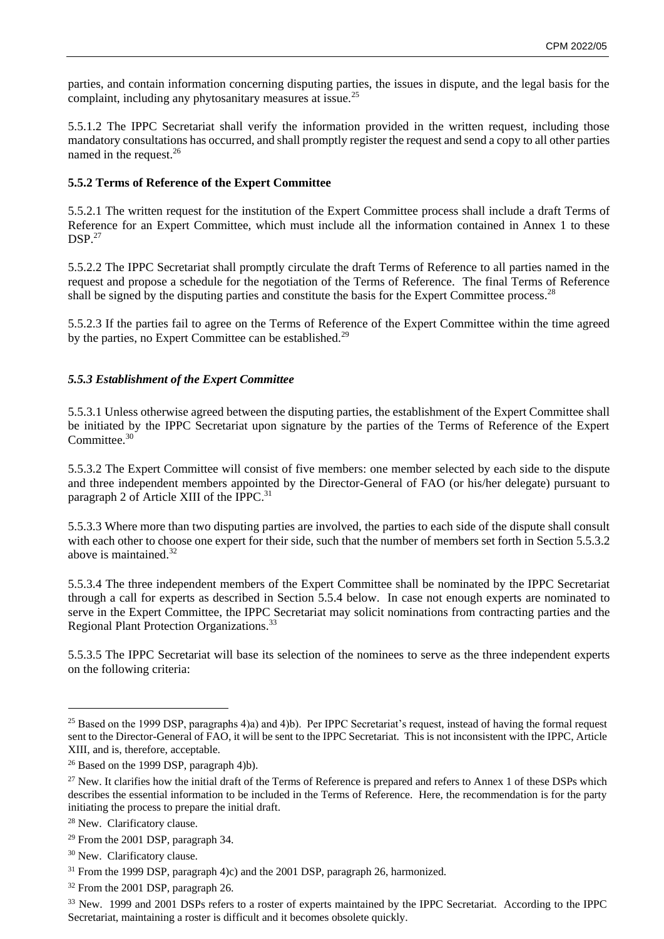parties, and contain information concerning disputing parties, the issues in dispute, and the legal basis for the complaint, including any phytosanitary measures at issue.<sup>25</sup>

5.5.1.2 The IPPC Secretariat shall verify the information provided in the written request, including those mandatory consultations has occurred, and shall promptly register the request and send a copy to all other parties named in the request.<sup>26</sup>

#### **5.5.2 Terms of Reference of the Expert Committee**

5.5.2.1 The written request for the institution of the Expert Committee process shall include a draft Terms of Reference for an Expert Committee, which must include all the information contained in Annex 1 to these  $DSP.<sup>27</sup>$ 

5.5.2.2 The IPPC Secretariat shall promptly circulate the draft Terms of Reference to all parties named in the request and propose a schedule for the negotiation of the Terms of Reference. The final Terms of Reference shall be signed by the disputing parties and constitute the basis for the Expert Committee process.<sup>28</sup>

5.5.2.3 If the parties fail to agree on the Terms of Reference of the Expert Committee within the time agreed by the parties, no Expert Committee can be established.<sup>29</sup>

#### *5.5.3 Establishment of the Expert Committee*

5.5.3.1 Unless otherwise agreed between the disputing parties, the establishment of the Expert Committee shall be initiated by the IPPC Secretariat upon signature by the parties of the Terms of Reference of the Expert Committee.<sup>30</sup>

5.5.3.2 The Expert Committee will consist of five members: one member selected by each side to the dispute and three independent members appointed by the Director-General of FAO (or his/her delegate) pursuant to paragraph 2 of Article XIII of the IPPC.<sup>31</sup>

5.5.3.3 Where more than two disputing parties are involved, the parties to each side of the dispute shall consult with each other to choose one expert for their side, such that the number of members set forth in Section 5.5.3.2 above is maintained.<sup>32</sup>

5.5.3.4 The three independent members of the Expert Committee shall be nominated by the IPPC Secretariat through a call for experts as described in Section 5.5.4 below. In case not enough experts are nominated to serve in the Expert Committee, the IPPC Secretariat may solicit nominations from contracting parties and the Regional Plant Protection Organizations.<sup>33</sup>

5.5.3.5 The IPPC Secretariat will base its selection of the nominees to serve as the three independent experts on the following criteria:

<sup>25</sup> Based on the 1999 DSP, paragraphs 4)a) and 4)b). Per IPPC Secretariat's request, instead of having the formal request sent to the Director-General of FAO, it will be sent to the IPPC Secretariat. This is not inconsistent with the IPPC, Article XIII, and is, therefore, acceptable.

<sup>26</sup> Based on the 1999 DSP, paragraph 4)b).

<sup>27</sup> New. It clarifies how the initial draft of the Terms of Reference is prepared and refers to Annex 1 of these DSPs which describes the essential information to be included in the Terms of Reference. Here, the recommendation is for the party initiating the process to prepare the initial draft.

<sup>28</sup> New. Clarificatory clause.

<sup>29</sup> From the 2001 DSP, paragraph 34.

<sup>30</sup> New. Clarificatory clause.

<sup>31</sup> From the 1999 DSP, paragraph 4)c) and the 2001 DSP, paragraph 26, harmonized.

<sup>32</sup> From the 2001 DSP, paragraph 26.

<sup>33</sup> New. 1999 and 2001 DSPs refers to a roster of experts maintained by the IPPC Secretariat. According to the IPPC Secretariat, maintaining a roster is difficult and it becomes obsolete quickly.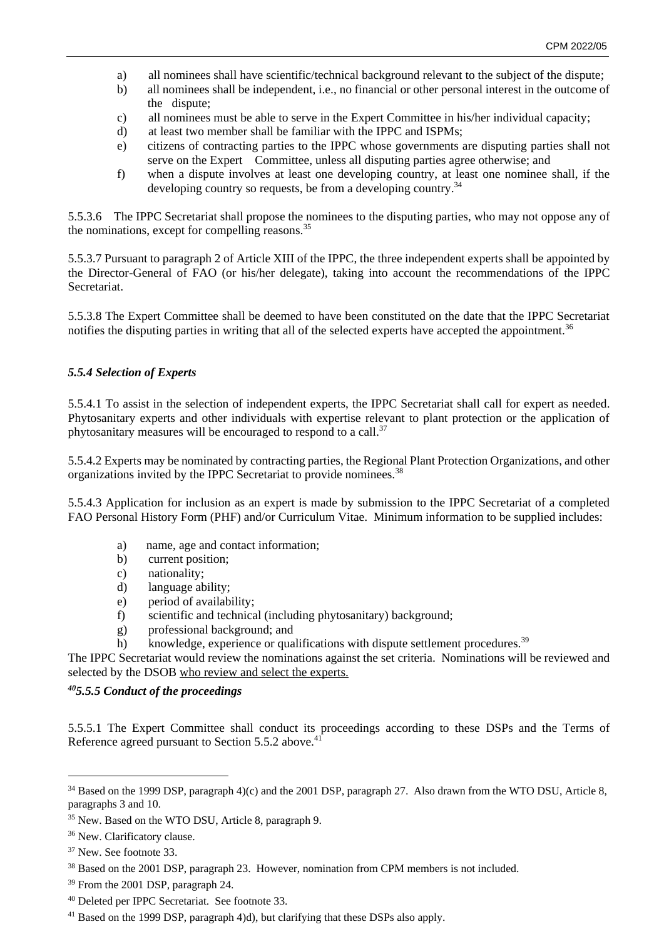- a) all nominees shall have scientific/technical background relevant to the subject of the dispute;
- b) all nominees shall be independent, i.e., no financial or other personal interest in the outcome of the dispute;
- c) all nominees must be able to serve in the Expert Committee in his/her individual capacity;
- d) at least two member shall be familiar with the IPPC and ISPMs;
- e) citizens of contracting parties to the IPPC whose governments are disputing parties shall not serve on the Expert Committee, unless all disputing parties agree otherwise; and
- f) when a dispute involves at least one developing country, at least one nominee shall, if the developing country so requests, be from a developing country.  $34$

5.5.3.6 The IPPC Secretariat shall propose the nominees to the disputing parties, who may not oppose any of the nominations, except for compelling reasons.<sup>35</sup>

5.5.3.7 Pursuant to paragraph 2 of Article XIII of the IPPC, the three independent experts shall be appointed by the Director-General of FAO (or his/her delegate), taking into account the recommendations of the IPPC Secretariat.

5.5.3.8 The Expert Committee shall be deemed to have been constituted on the date that the IPPC Secretariat notifies the disputing parties in writing that all of the selected experts have accepted the appointment.<sup>36</sup>

#### *5.5.4 Selection of Experts*

5.5.4.1 To assist in the selection of independent experts, the IPPC Secretariat shall call for expert as needed. Phytosanitary experts and other individuals with expertise relevant to plant protection or the application of phytosanitary measures will be encouraged to respond to a call.<sup>37</sup>

5.5.4.2 Experts may be nominated by contracting parties, the Regional Plant Protection Organizations, and other organizations invited by the IPPC Secretariat to provide nominees.<sup>38</sup>

5.5.4.3 Application for inclusion as an expert is made by submission to the IPPC Secretariat of a completed FAO Personal History Form (PHF) and/or Curriculum Vitae. Minimum information to be supplied includes:

- a) name, age and contact information;
- b) current position;
- c) nationality;
- d) language ability;
- e) period of availability;
- f) scientific and technical (including phytosanitary) background;
- g) professional background; and
- h) knowledge, experience or qualifications with dispute settlement procedures.<sup>39</sup>

The IPPC Secretariat would review the nominations against the set criteria. Nominations will be reviewed and selected by the DSOB who review and select the experts.

#### *<sup>40</sup>5.5.5 Conduct of the proceedings*

5.5.5.1 The Expert Committee shall conduct its proceedings according to these DSPs and the Terms of Reference agreed pursuant to Section 5.5.2 above.<sup>4</sup>

<sup>34</sup> Based on the 1999 DSP, paragraph 4)(c) and the 2001 DSP, paragraph 27. Also drawn from the WTO DSU, Article 8, paragraphs 3 and 10.

- <sup>35</sup> New. Based on the WTO DSU, Article 8, paragraph 9.
- <sup>36</sup> New. Clarificatory clause.
- <sup>37</sup> New. See footnote 33.
- <sup>38</sup> Based on the 2001 DSP, paragraph 23. However, nomination from CPM members is not included.
- <sup>39</sup> From the 2001 DSP, paragraph 24.
- <sup>40</sup> Deleted per IPPC Secretariat. See footnote 33.
- <sup>41</sup> Based on the 1999 DSP, paragraph 4)d), but clarifying that these DSPs also apply.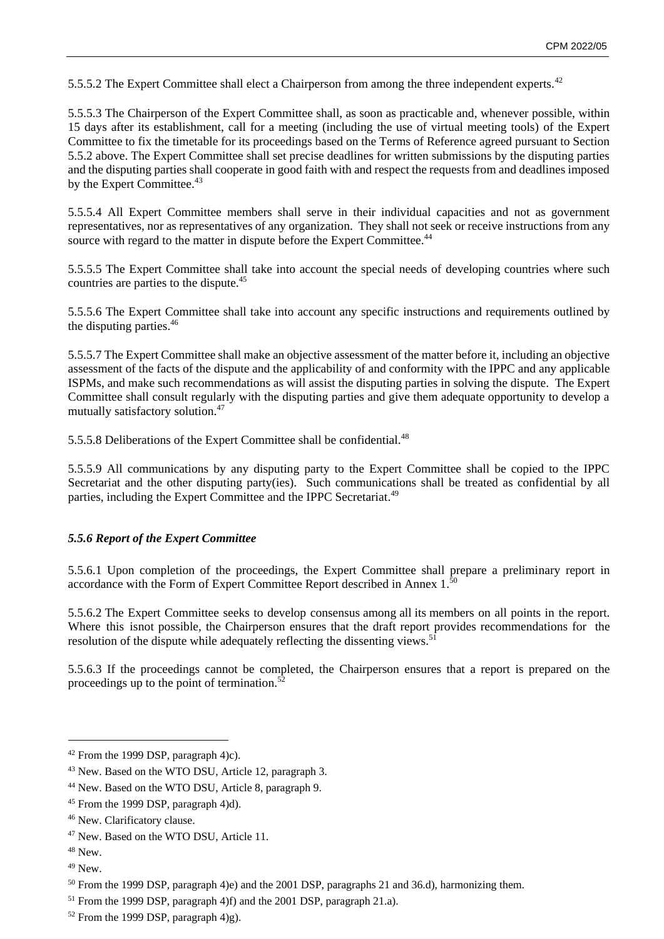5.5.5.2 The Expert Committee shall elect a Chairperson from among the three independent experts.<sup>42</sup>

5.5.5.3 The Chairperson of the Expert Committee shall, as soon as practicable and, whenever possible, within 15 days after its establishment, call for a meeting (including the use of virtual meeting tools) of the Expert Committee to fix the timetable for its proceedings based on the Terms of Reference agreed pursuant to Section 5.5.2 above. The Expert Committee shall set precise deadlines for written submissions by the disputing parties and the disputing parties shall cooperate in good faith with and respect the requests from and deadlines imposed by the Expert Committee.<sup>43</sup>

5.5.5.4 All Expert Committee members shall serve in their individual capacities and not as government representatives, nor as representatives of any organization. They shall not seek or receive instructions from any source with regard to the matter in dispute before the Expert Committee.<sup>44</sup>

5.5.5.5 The Expert Committee shall take into account the special needs of developing countries where such countries are parties to the dispute.<sup>45</sup>

5.5.5.6 The Expert Committee shall take into account any specific instructions and requirements outlined by the disputing parties.<sup>46</sup>

5.5.5.7 The Expert Committee shall make an objective assessment of the matter before it, including an objective assessment of the facts of the dispute and the applicability of and conformity with the IPPC and any applicable ISPMs, and make such recommendations as will assist the disputing parties in solving the dispute. The Expert Committee shall consult regularly with the disputing parties and give them adequate opportunity to develop a mutually satisfactory solution.<sup>47</sup>

5.5.5.8 Deliberations of the Expert Committee shall be confidential.<sup>48</sup>

5.5.5.9 All communications by any disputing party to the Expert Committee shall be copied to the IPPC Secretariat and the other disputing party(ies). Such communications shall be treated as confidential by all parties, including the Expert Committee and the IPPC Secretariat.<sup>49</sup>

#### *5.5.6 Report of the Expert Committee*

5.5.6.1 Upon completion of the proceedings, the Expert Committee shall prepare a preliminary report in accordance with the Form of Expert Committee Report described in Annex  $1.^{\bar{50}}$ 

5.5.6.2 The Expert Committee seeks to develop consensus among all its members on all points in the report. Where this is not possible, the Chairperson ensures that the draft report provides recommendations for the resolution of the dispute while adequately reflecting the dissenting views.<sup>51</sup>

5.5.6.3 If the proceedings cannot be completed, the Chairperson ensures that a report is prepared on the proceedings up to the point of termination. $52$ 

and the 2001 DSP, paragraph 21.a).

<sup>42</sup> From the 1999 DSP, paragraph 4)c).

<sup>43</sup> New. Based on the WTO DSU, Article 12, paragraph 3.

<sup>44</sup> New. Based on the WTO DSU, Article 8, paragraph 9.

<sup>45</sup> From the 1999 DSP, paragraph 4)d).

<sup>46</sup> New. Clarificatory clause.

<sup>47</sup> New. Based on the WTO DSU, Article 11.

<sup>48</sup> New.

<sup>49</sup> New.

<sup>50</sup> From the 1999 DSP, paragraph 4)e) and the 2001 DSP, paragraphs 21 and 36.d), harmonizing them. 51 From the 1999 DSP, paragraph 4)f)

<sup>52</sup> From the 1999 DSP, paragraph 4)g).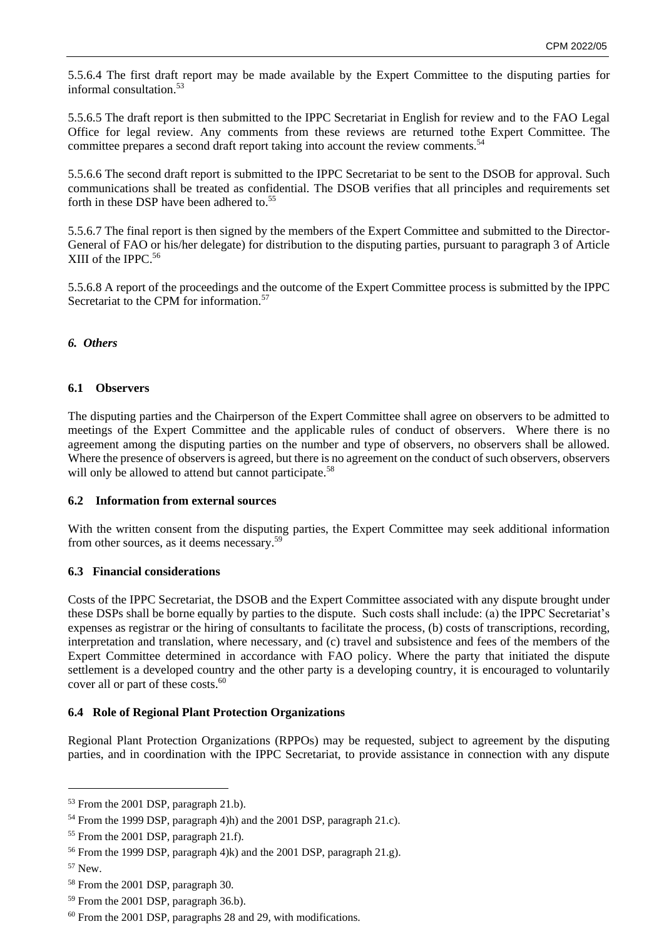5.5.6.4 The first draft report may be made available by the Expert Committee to the disputing parties for informal consultation.<sup>53</sup>

5.5.6.5 The draft report is then submitted to the IPPC Secretariat in English for review and to the FAO Legal Office for legal review. Any comments from these reviews are returned tothe Expert Committee. The committee prepares a second draft report taking into account the review comments.<sup>54</sup>

5.5.6.6 The second draft report is submitted to the IPPC Secretariat to be sent to the DSOB for approval. Such communications shall be treated as confidential. The DSOB verifies that all principles and requirements set forth in these DSP have been adhered to.<sup>55</sup>

5.5.6.7 The final report is then signed by the members of the Expert Committee and submitted to the Director-General of FAO or his/her delegate) for distribution to the disputing parties, pursuant to paragraph 3 of Article XIII of the IPPC. 56

5.5.6.8 A report of the proceedings and the outcome of the Expert Committee process is submitted by the IPPC Secretariat to the CPM for information.<sup>57</sup>

#### *6. Others*

#### **6.1 Observers**

The disputing parties and the Chairperson of the Expert Committee shall agree on observers to be admitted to meetings of the Expert Committee and the applicable rules of conduct of observers. Where there is no agreement among the disputing parties on the number and type of observers, no observers shall be allowed. Where the presence of observers is agreed, but there is no agreement on the conduct of such observers, observers will only be allowed to attend but cannot participate.<sup>58</sup>

#### **6.2 Information from external sources**

With the written consent from the disputing parties, the Expert Committee may seek additional information from other sources, as it deems necessary.<sup>59</sup>

#### **6.3 Financial considerations**

Costs of the IPPC Secretariat, the DSOB and the Expert Committee associated with any dispute brought under these DSPs shall be borne equally by parties to the dispute. Such costs shall include: (a) the IPPC Secretariat's expenses as registrar or the hiring of consultants to facilitate the process, (b) costs of transcriptions, recording, interpretation and translation, where necessary, and (c) travel and subsistence and fees of the members of the Expert Committee determined in accordance with FAO policy. Where the party that initiated the dispute settlement is a developed country and the other party is a developing country, it is encouraged to voluntarily cover all or part of these costs. 60

#### **6.4 Role of Regional Plant Protection Organizations**

Regional Plant Protection Organizations (RPPOs) may be requested, subject to agreement by the disputing parties, and in coordination with the IPPC Secretariat, to provide assistance in connection with any dispute

<sup>53</sup> From the 2001 DSP, paragraph 21.b).

<sup>54</sup> From the 1999 DSP, paragraph 4)h) and the 2001 DSP, paragraph 21.c). 55 From the 2001 DSP, paragraph 21.f).

<sup>56</sup> From the 1999 DSP, paragraph 4)k) and the 2001 DSP, paragraph 21.g). 57 New.

<sup>58</sup> From the 2001 DSP, paragraph 30.

<sup>59</sup> From the 2001 DSP, paragraph 36.b).

<sup>60</sup> From the 2001 DSP, paragraphs 28 and 29, with modifications.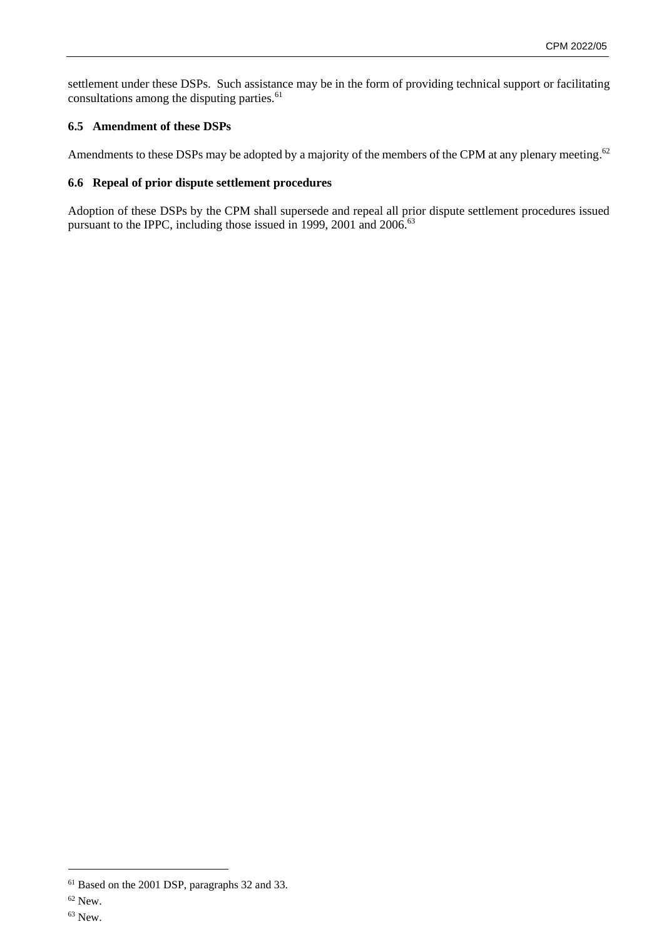settlement under these DSPs. Such assistance may be in the form of providing technical support or facilitating consultations among the disputing parties.<sup>61</sup>

# **6.5 Amendment of these DSPs**

Amendments to these DSPs may be adopted by a majority of the members of the CPM at any plenary meeting.<sup>62</sup>

#### **6.6 Repeal of prior dispute settlement procedures**

Adoption of these DSPs by the CPM shall supersede and repeal all prior dispute settlement procedures issued pursuant to the IPPC, including those issued in 1999, 2001 and 2006.<sup>63</sup>

<sup>61</sup> Based on the 2001 DSP, paragraphs 32 and 33. 62 New.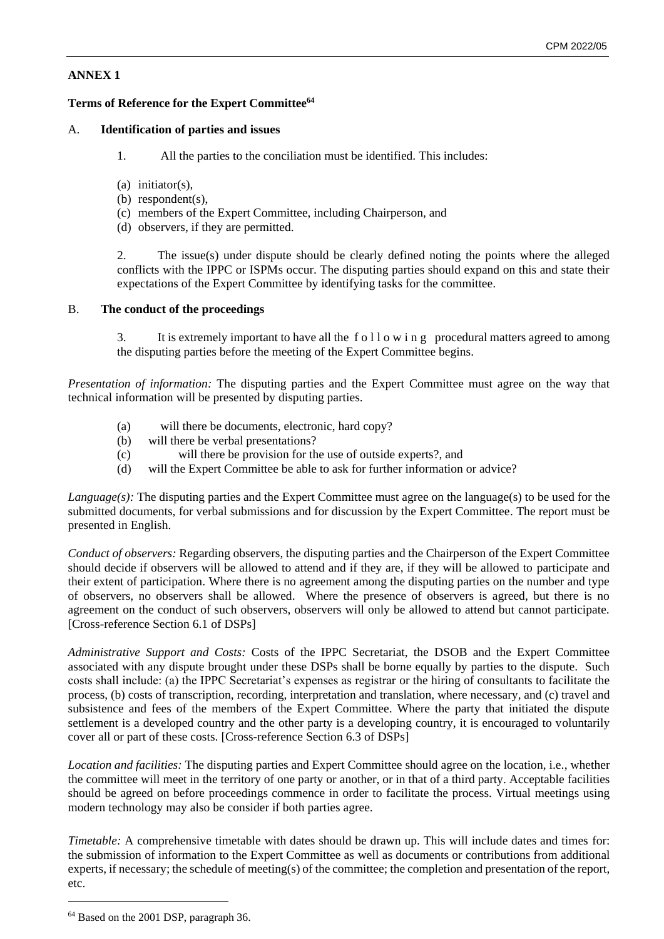# **ANNEX 1**

# **Terms of Reference for the Expert Committee<sup>64</sup>**

# A. **Identification of parties and issues**

- 1. All the parties to the conciliation must be identified. This includes:
- (a) initiator(s),
- (b) respondent(s),
- (c) members of the Expert Committee, including Chairperson, and
- (d) observers, if they are permitted.

2. The issue(s) under dispute should be clearly defined noting the points where the alleged conflicts with the IPPC or ISPMs occur. The disputing parties should expand on this and state their expectations of the Expert Committee by identifying tasks for the committee.

# B. **The conduct of the proceedings**

3. It is extremely important to have all the following procedural matters agreed to among the disputing parties before the meeting of the Expert Committee begins.

*Presentation of information:* The disputing parties and the Expert Committee must agree on the way that technical information will be presented by disputing parties.

- (a) will there be documents, electronic, hard copy?
- (b) will there be verbal presentations?
- (c) will there be provision for the use of outside experts?, and
- (d) will the Expert Committee be able to ask for further information or

advice?

*Language(s)*: The disputing parties and the Expert Committee must agree on the language(s) to be used for the submitted documents, for verbal submissions and for discussion by the Expert Committee. The report must be presented in English.

*Conduct of observers:* Regarding observers, the disputing parties and the Chairperson of the Expert Committee should decide if observers will be allowed to attend and if they are, if they will be allowed to participate and their extent of participation. Where there is no agreement among the disputing parties on the number and type of observers, no observers shall be allowed. Where the presence of observers is agreed, but there is no agreement on the conduct of such observers, observers will only be allowed to attend but cannot participate. [Cross-reference Section 6.1 of DSPs]

*Administrative Support and Costs:* Costs of the IPPC Secretariat, the DSOB and the Expert Committee associated with any dispute brought under these DSPs shall be borne equally by parties to the dispute. Such costs shall include: (a) the IPPC Secretariat's expenses as registrar or the hiring of consultants to facilitate the process, (b) costs of transcription, recording, interpretation and translation, where necessary, and (c) travel and subsistence and fees of the members of the Expert Committee. Where the party that initiated the dispute settlement is a developed country and the other party is a developing country, it is encouraged to voluntarily cover all or part of these costs. [Cross-reference Section 6.3 of DSPs]

*Location and facilities:* The disputing parties and Expert Committee should agree on the location, i.e., whether the committee will meet in the territory of one party or another, or in that of a third party. Acceptable facilities should be agreed on before proceedings commence in order to facilitate the process. Virtual meetings using modern technology may also be consider if both parties agree.

*Timetable:* A comprehensive timetable with dates should be drawn up. This will include dates and times for: the submission of information to the Expert Committee as well as documents or contributions from additional experts, if necessary; the schedule of meeting(s) of the committee; the completion and presentation of the report, etc.

<sup>64</sup> Based on the 2001 DSP, paragraph 36.